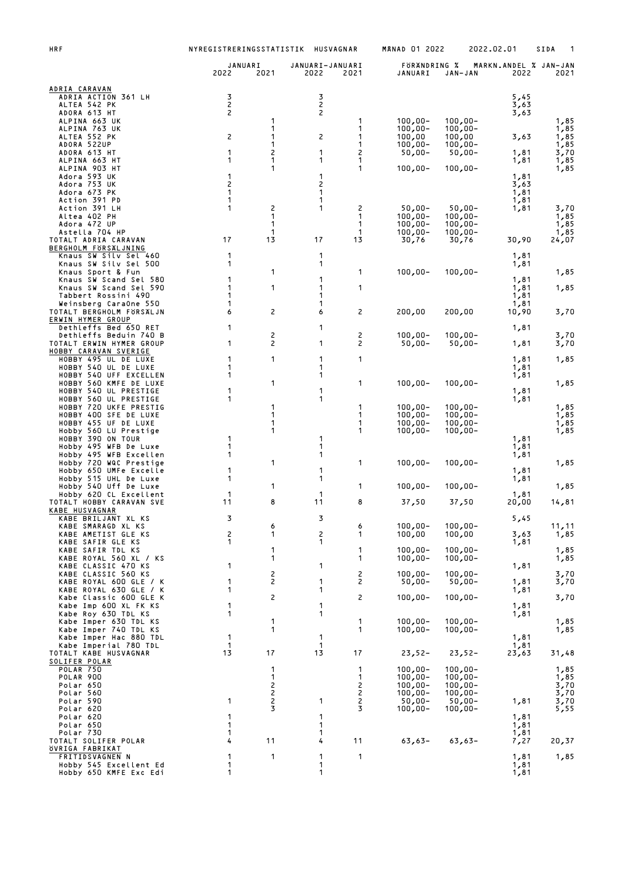| HRF                                                | NYREGISTRERINGSSTATISTIK<br>HUSVAGNAR |                                       |                         |                  | <b>MANAD 01 2022</b>     |                          | 2022.02.01                    | SIDA<br>1      |
|----------------------------------------------------|---------------------------------------|---------------------------------------|-------------------------|------------------|--------------------------|--------------------------|-------------------------------|----------------|
|                                                    | JANUARI<br>2022                       | 2021                                  | JANUARI-JANUARI<br>2022 | 2021             | FORANDRING %<br>JANUARI  | JAN-JAN                  | MARKN.ANDEL % JAN-JAN<br>2022 | 2021           |
| ADRIA CARAVAN<br>ADRIA ACTION 361 LH               | 3                                     |                                       | 3                       |                  |                          |                          | 5,45                          |                |
| ALTEA 542 PK                                       | $\mathsf{S}$                          |                                       | $\mathsf{S}$            |                  |                          |                          | 3,63                          |                |
| ADORA 613 HT<br>ALPINA 663 UK                      | 2                                     | 1                                     | 2                       | 1                | $100,00 -$               | $100,00 -$               | 3,63                          | 1,85           |
| ALPINA 763 UK<br>ALTEA 552 PK                      | 2                                     | 1<br>1                                | 2                       | 1<br>1           | $100,00 -$<br>100,00     | $100,00 -$<br>100,00     | 3,63                          | 1,85<br>1,85   |
| ADORA 522UP<br>ADORA 613 HT                        | 1                                     | 1<br>2                                | 1                       | 1<br>2           | $100,00 -$<br>$50,00 -$  | $100,00 -$<br>$50,00 -$  | 1,81                          | 1,85<br>3,70   |
| ALPINA 663 HT                                      | 1                                     | 1                                     | 1                       | 1                |                          |                          | 1,81                          | 1,85           |
| ALPINA 903 HT<br>Adora 593 UK                      | 1                                     | 1                                     | 1                       | 1                | $100,00 -$               | $100,00 -$               | 1,81                          | 1,85           |
| Adora 753 UK<br>Adora 673 PK                       | 2<br>1                                |                                       | 2<br>1                  |                  |                          |                          | 3,63<br>1,81                  |                |
| Action 391 PD                                      | 1<br>1                                |                                       | 1                       |                  |                          |                          | 1,81                          |                |
| Action 391 LH<br>Altea 402 PH                      |                                       | 2<br>1                                | 1                       | 2<br>1           | $50,00 -$<br>$100,00 -$  | $50,00 -$<br>$100,00 -$  | 1,81                          | 3,70<br>1,85   |
| Adora 472 UP<br>Astella 704 HP                     |                                       | 1<br>1                                |                         | 1<br>$\mathbf 1$ | $100,00 -$<br>$100,00 -$ | $100,00 -$<br>$100,00 -$ |                               | 1,85<br>1,85   |
| TOTALT ADRIA CARAVAN<br>BERGHOLM FORSALJNING       | 17                                    | 13                                    | 17                      | 13               | 30,76                    | 30,76                    | 30,90                         | 24,07          |
| Knaus SW Silv Sel 460                              | 1                                     |                                       | 1                       |                  |                          |                          | 1,81                          |                |
| Knaus SW Silv Sel 500<br>Knaus Sport & Fun         | 1                                     | 1                                     | 1                       | 1                | $100,00 -$               | $100,00 -$               | 1,81                          | 1,85           |
| Knaus SW Scand Sel 580<br>Knaus SW Scand Sel 590   | 1<br>1                                | 1                                     | 1<br>1                  | 1                |                          |                          | 1,81<br>1,81                  | 1,85           |
| Tabbert Rossini 490<br>Weinsberg CaraOne 550       | 1<br>1                                |                                       | 1<br>1                  |                  |                          |                          | 1,81<br>1,81                  |                |
| TOTALT BERGHOLM FÖRSÄLJN                           | 6                                     | 2                                     | 6                       | 2                | 200,00                   | 200,00                   | 10,90                         | 3,70           |
| ERWIN HYMER GROUP<br>Dethleffs Bed 650 RET         | 1                                     |                                       | 1                       |                  |                          |                          | 1,81                          |                |
| Dethleffs Beduin 740 B<br>TOTALT ERWIN HYMER GROUP | 1                                     | 2<br>2                                | 1                       | 2<br>2           | $100,00 -$<br>$50,00 -$  | $100,00 -$<br>$50,00 -$  | 1,81                          | 3,70<br>3,70   |
| HOBBY CARAVAN SVERIGE<br>HOBBY 495 UL DE LUXE      | 1                                     | 1                                     | 1                       | 1                |                          |                          |                               | 1,85           |
| HOBBY 540 UL DE LUXE                               | 1                                     |                                       | 1                       |                  |                          |                          | 1,81<br>1,81                  |                |
| HOBBY 540 UFF EXCELLEN<br>HOBBY 560 KMFE DE LUXE   | 1                                     | 1                                     | 1                       | 1                | $100,00 -$               | $100,00 -$               | 1,81                          | 1,85           |
| HOBBY 540 UL PRESTIGE<br>HOBBY 560 UL PRESTIGE     | 1<br>1                                |                                       | 1<br>1                  |                  |                          |                          | 1,81<br>1,81                  |                |
| HOBBY 720 UKFE PRESTIG                             |                                       | 1                                     |                         | 1                | $100,00 -$               | $100,00 -$               |                               | 1,85           |
| HOBBY 400 SFE DE LUXE<br>HOBBY 455 UF DE LUXE      |                                       | 1<br>1                                |                         | 1<br>1           | $100,00 -$<br>$100,00 -$ | $100,00 -$<br>$100,00 -$ |                               | 1,85<br>1,85   |
| Hobby 560 LU Prestige<br>HOBBY 390 ON TOUR         | 1                                     | 1                                     | 1                       | 1                | $100,00 -$               | $100,00 -$               | 1,81                          | 1,85           |
| Hobby 495 WFB De Luxe<br>Hobby 495 WFB Excellen    | 1<br>1                                |                                       | 1<br>1                  |                  |                          |                          | 1,81<br>1,81                  |                |
| Hobby 720 WQC Prestige                             |                                       | 1                                     |                         | 1                | $100,00 -$               | $100,00 -$               |                               | 1,85           |
| Hobby 650 UMFe Excelle<br>Hobby 515 UHL De Luxe    | 1<br>1                                |                                       | 1<br>1                  |                  |                          |                          | 1,81<br>1,81                  |                |
| Hobby 540 Uff De Luxe<br>Hobby 620 CL Excellent    | 1                                     | 1                                     | 1                       | 1                | $100,00 -$               | $100,00 -$               | 1,81                          | 1,85           |
| TOTALT HOBBY CARAVAN SVE<br>KABE HUSVAGNAR         | 11                                    | 8                                     | 11                      | 8                | 37,50                    | 37,50                    | 20,00                         | 14,81          |
| KABE BRILJANT XL KS                                | 3                                     |                                       | 3                       |                  |                          |                          | 5,45                          |                |
| KABE SMARAGD XL KS<br>KABE AMETIST GLE KS          | 2                                     | 6<br>1                                | 2                       | 6<br>1           | $100,00 -$<br>100,00     | $100,00 -$<br>100,00     | 3,63                          | 11, 11<br>1,85 |
| KABE SAFIR GLE KS<br>KABE SAFIR TDL KS             | 1                                     | 1                                     | 1                       | 1                | $100,00 -$               | $100,00 -$               | 1,81                          | 1,85           |
| KABE ROYAL 560 XL / KS                             |                                       | 1                                     |                         | 1                | $100,00 -$               | $100,00 -$               |                               | 1,85           |
| KABE CLASSIC 470 KS<br>KABE CLASSIC 560 KS         | 1                                     | 2                                     | 1                       | 2                | $100,00 -$               | $100,00 -$               | 1,81                          | 3,70           |
| KABE ROYAL 600 GLE / K<br>KABE ROYAL 630 GLE / K   | 1<br>1                                | $\overline{c}$                        | 1<br>1                  | $\overline{c}$   | $50,00 -$                | $50,00 -$                | 1,81<br>1,81                  | 3,70           |
| Kabe Classic 600 GLE K<br>Kabe Imp 600 XL FK KS    | 1                                     | 2                                     | 1                       | 2                | $100,00 -$               | $100,00 -$               | 1,81                          | 3,70           |
| Kabe Roy 630 TDL KS                                | 1                                     |                                       | 1                       |                  |                          |                          | 1,81                          |                |
| Kabe Imper 630 TDL KS<br>Kabe Imper 740 TDL KS     |                                       | 1<br>1                                |                         | 1<br>1           | $100,00 -$<br>$100,00 -$ | $100,00 -$<br>$100,00 -$ |                               | 1,85<br>1,85   |
| Kabe Imper Hac 880 TDL<br>Kabe Imperial 780 TDL    | 1<br>1                                |                                       | 1<br>1                  |                  |                          |                          | 1,81<br>1,81                  |                |
| TOTALT KABE HUSVAGNAR                              | 13                                    | 17                                    | 13                      | 17               | $23,52-$                 | $23,52-$                 | 23,63                         | 31,48          |
| SOLIFER POLAR<br><b>POLAR 750</b>                  |                                       | 1                                     |                         | 1                | $100,00 -$               | $100,00 -$               |                               | 1,85           |
| POLAR 900<br>Polar 650                             |                                       | 1<br>2                                |                         | 1<br>2           | $100,00 -$<br>$100,00 -$ | $100,00 -$<br>$100,00 -$ |                               | 1,85<br>3,70   |
| Polar 560<br>Polar 590                             | 1                                     | $\begin{array}{c} 2 \\ 2 \end{array}$ | 1                       | 2<br>2           | $100,00 -$<br>$50,00 -$  | $100,00 -$<br>$50,00 -$  | 1,81                          | 3,70<br>3,70   |
| Polar 620                                          | 1                                     | 3                                     | 1                       | 3                | $100,00 -$               | $100,00 -$               |                               | 5,55           |
| Polar 620<br>Polar 650                             | 1                                     |                                       | 1                       |                  |                          |                          | 1,81<br>1,81                  |                |
| Polar 730<br>TOTALT SOLIFER POLAR                  | 1<br>4                                | 11                                    | 1<br>4                  | 11               | $63,63-$                 | $63,63-$                 | 1,81<br>7,27                  | 20,37          |
| <u>ÖVRIGA FABRIKAT</u><br>FRITIDSVAGNEN N          | 1                                     | 1                                     | 1                       | 1                |                          |                          | 1,81                          | 1,85           |
| Hobby 545 Excellent Ed<br>Hobby 650 KMFE Exc Edi   | 1<br>1                                |                                       | 1<br>1                  |                  |                          |                          | 1,81<br>1,81                  |                |